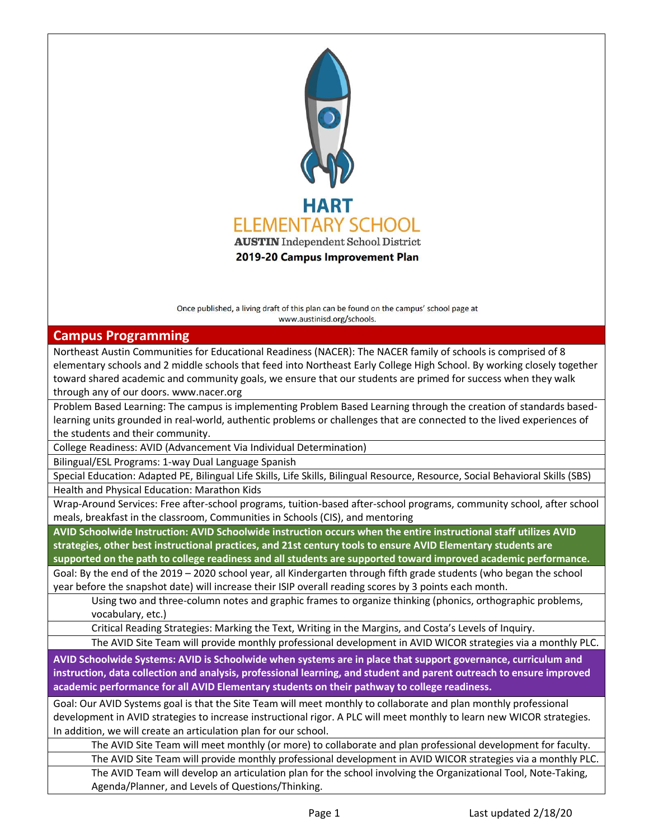

Once published, a living draft of this plan can be found on the campus' school page at www.austinisd.org/schools.

## **Campus Programming**

Northeast Austin Communities for Educational Readiness (NACER): The NACER family of schools is comprised of 8 elementary schools and 2 middle schools that feed into Northeast Early College High School. By working closely together toward shared academic and community goals, we ensure that our students are primed for success when they walk through any of our doors. www.nacer.org

Problem Based Learning: The campus is implementing Problem Based Learning through the creation of standards basedlearning units grounded in real-world, authentic problems or challenges that are connected to the lived experiences of the students and their community.

College Readiness: AVID (Advancement Via Individual Determination)

Bilingual/ESL Programs: 1-way Dual Language Spanish

Special Education: Adapted PE, Bilingual Life Skills, Life Skills, Bilingual Resource, Resource, Social Behavioral Skills (SBS) Health and Physical Education: Marathon Kids

Wrap-Around Services: Free after-school programs, tuition-based after-school programs, community school, after school meals, breakfast in the classroom, Communities in Schools (CIS), and mentoring

**AVID Schoolwide Instruction: AVID Schoolwide instruction occurs when the entire instructional staff utilizes AVID strategies, other best instructional practices, and 21st century tools to ensure AVID Elementary students are** 

**supported on the path to college readiness and all students are supported toward improved academic performance.**

Goal: By the end of the 2019 – 2020 school year, all Kindergarten through fifth grade students (who began the school year before the snapshot date) will increase their ISIP overall reading scores by 3 points each month.

Using two and three-column notes and graphic frames to organize thinking (phonics, orthographic problems, vocabulary, etc.)

Critical Reading Strategies: Marking the Text, Writing in the Margins, and Costa's Levels of Inquiry.

The AVID Site Team will provide monthly professional development in AVID WICOR strategies via a monthly PLC.

**AVID Schoolwide Systems: AVID is Schoolwide when systems are in place that support governance, curriculum and instruction, data collection and analysis, professional learning, and student and parent outreach to ensure improved academic performance for all AVID Elementary students on their pathway to college readiness.**

Goal: Our AVID Systems goal is that the Site Team will meet monthly to collaborate and plan monthly professional development in AVID strategies to increase instructional rigor. A PLC will meet monthly to learn new WICOR strategies. In addition, we will create an articulation plan for our school.

The AVID Site Team will meet monthly (or more) to collaborate and plan professional development for faculty.

The AVID Site Team will provide monthly professional development in AVID WICOR strategies via a monthly PLC. The AVID Team will develop an articulation plan for the school involving the Organizational Tool, Note-Taking, Agenda/Planner, and Levels of Questions/Thinking.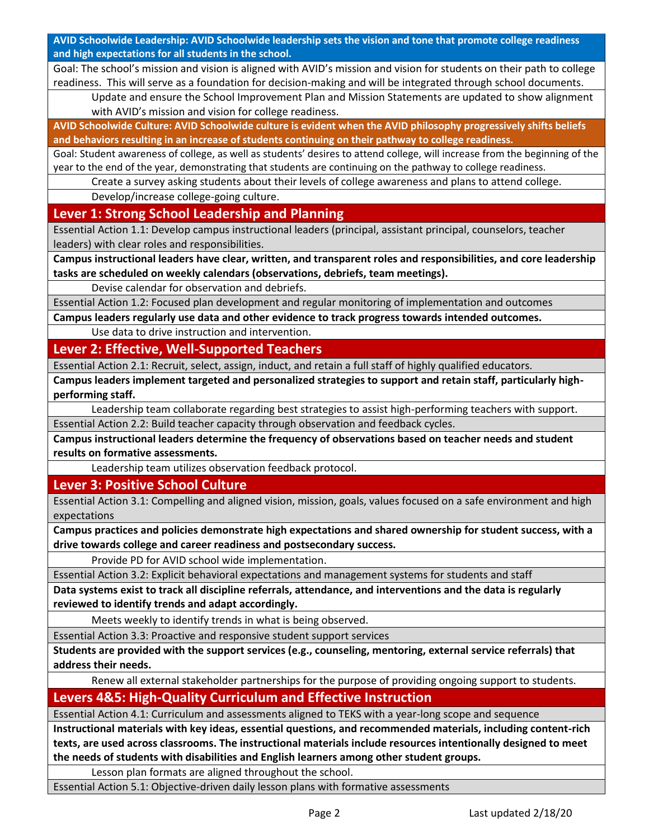**AVID Schoolwide Leadership: AVID Schoolwide leadership sets the vision and tone that promote college readiness and high expectations for all students in the school.**

Goal: The school's mission and vision is aligned with AVID's mission and vision for students on their path to college readiness. This will serve as a foundation for decision-making and will be integrated through school documents.

Update and ensure the School Improvement Plan and Mission Statements are updated to show alignment with AVID's mission and vision for college readiness.

**AVID Schoolwide Culture: AVID Schoolwide culture is evident when the AVID philosophy progressively shifts beliefs and behaviors resulting in an increase of students continuing on their pathway to college readiness.**

Goal: Student awareness of college, as well as students' desires to attend college, will increase from the beginning of the year to the end of the year, demonstrating that students are continuing on the pathway to college readiness.

Create a survey asking students about their levels of college awareness and plans to attend college.

Develop/increase college-going culture.

**Lever 1: Strong School Leadership and Planning**

Essential Action 1.1: Develop campus instructional leaders (principal, assistant principal, counselors, teacher leaders) with clear roles and responsibilities.

**Campus instructional leaders have clear, written, and transparent roles and responsibilities, and core leadership tasks are scheduled on weekly calendars (observations, debriefs, team meetings).**

Devise calendar for observation and debriefs.

Essential Action 1.2: Focused plan development and regular monitoring of implementation and outcomes

**Campus leaders regularly use data and other evidence to track progress towards intended outcomes.**

Use data to drive instruction and intervention.

**Lever 2: Effective, Well-Supported Teachers**

Essential Action 2.1: Recruit, select, assign, induct, and retain a full staff of highly qualified educators.

**Campus leaders implement targeted and personalized strategies to support and retain staff, particularly highperforming staff.**

Leadership team collaborate regarding best strategies to assist high-performing teachers with support. Essential Action 2.2: Build teacher capacity through observation and feedback cycles.

**Campus instructional leaders determine the frequency of observations based on teacher needs and student results on formative assessments.**

Leadership team utilizes observation feedback protocol.

**Lever 3: Positive School Culture**

Essential Action 3.1: Compelling and aligned vision, mission, goals, values focused on a safe environment and high expectations

**Campus practices and policies demonstrate high expectations and shared ownership for student success, with a drive towards college and career readiness and postsecondary success.**

Provide PD for AVID school wide implementation.

Essential Action 3.2: Explicit behavioral expectations and management systems for students and staff

**Data systems exist to track all discipline referrals, attendance, and interventions and the data is regularly reviewed to identify trends and adapt accordingly.**

Meets weekly to identify trends in what is being observed.

Essential Action 3.3: Proactive and responsive student support services

**Students are provided with the support services (e.g., counseling, mentoring, external service referrals) that address their needs.**

Renew all external stakeholder partnerships for the purpose of providing ongoing support to students.

**Levers 4&5: High-Quality Curriculum and Effective Instruction**

Essential Action 4.1: Curriculum and assessments aligned to TEKS with a year-long scope and sequence

**Instructional materials with key ideas, essential questions, and recommended materials, including content-rich texts, are used across classrooms. The instructional materials include resources intentionally designed to meet the needs of students with disabilities and English learners among other student groups.**

Lesson plan formats are aligned throughout the school.

Essential Action 5.1: Objective-driven daily lesson plans with formative assessments